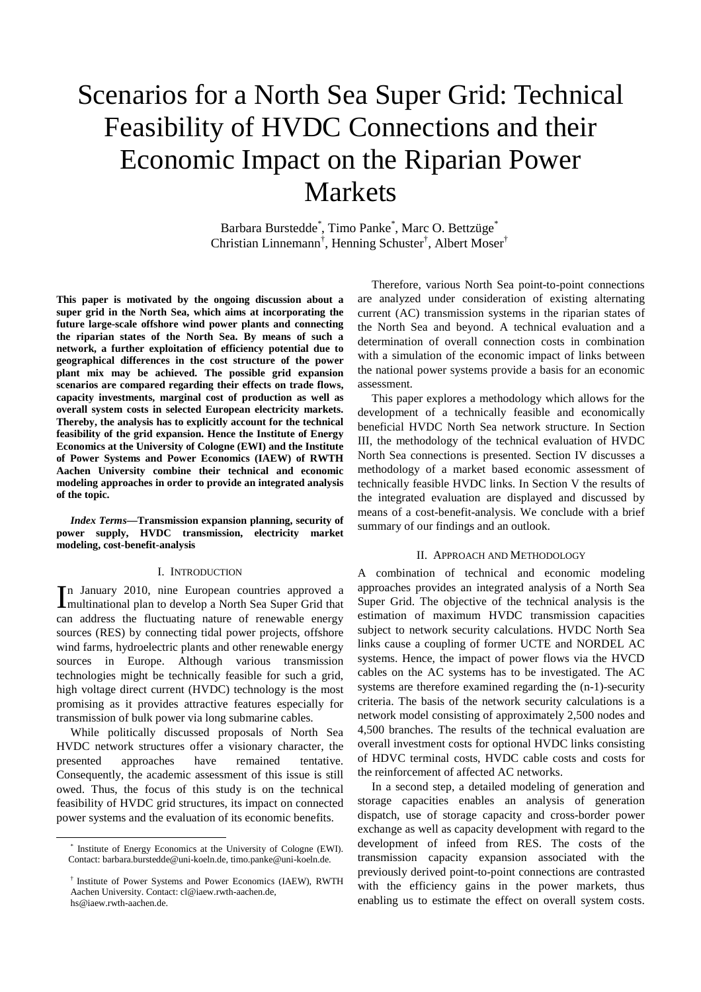# Scenarios for a North Sea Super Grid: Technical Feasibility of HVDC Connections and their Economic Impact on the Riparian Power Markets

Barbara Burstedde\* , Timo Panke\* , Marc O. Bettzüge\* Christian Linnemann† , Henning Schuster† , Albert Moser†

**This paper is motivated by the ongoing discussion about a super grid in the North Sea, which aims at incorporating the future large-scale offshore wind power plants and connecting the riparian states of the North Sea. By means of such a network, a further exploitation of efficiency potential due to geographical differences in the cost structure of the power plant mix may be achieved. The possible grid expansion scenarios are compared regarding their effects on trade flows, capacity investments, marginal cost of production as well as overall system costs in selected European electricity markets. Thereby, the analysis has to explicitly account for the technical feasibility of the grid expansion. Hence the Institute of Energy Economics at the University of Cologne (EWI) and the Institute of Power Systems and Power Economics (IAEW) of RWTH Aachen University combine their technical and economic modeling approaches in order to provide an integrated analysis of the topic.** 

*Index Terms***—Transmission expansion planning, security of power supply, HVDC transmission, electricity market modeling, cost-benefit-analysis** 

# I. INTRODUCTION

n January 2010, nine European countries approved a In January 2010, nine European countries approved a multinational plan to develop a North Sea Super Grid that can address the fluctuating nature of renewable energy sources (RES) by connecting tidal power projects, offshore wind farms, hydroelectric plants and other renewable energy sources in Europe. Although various transmission technologies might be technically feasible for such a grid, high voltage direct current (HVDC) technology is the most promising as it provides attractive features especially for transmission of bulk power via long submarine cables.

While politically discussed proposals of North Sea HVDC network structures offer a visionary character, the presented approaches have remained tentative. Consequently, the academic assessment of this issue is still owed. Thus, the focus of this study is on the technical feasibility of HVDC grid structures, its impact on connected power systems and the evaluation of its economic benefits.

l

Therefore, various North Sea point-to-point connections are analyzed under consideration of existing alternating current (AC) transmission systems in the riparian states of the North Sea and beyond. A technical evaluation and a determination of overall connection costs in combination with a simulation of the economic impact of links between the national power systems provide a basis for an economic assessment.

This paper explores a methodology which allows for the development of a technically feasible and economically beneficial HVDC North Sea network structure. In Section III, the methodology of the technical evaluation of HVDC North Sea connections is presented. Section IV discusses a methodology of a market based economic assessment of technically feasible HVDC links. In Section V the results of the integrated evaluation are displayed and discussed by means of a cost-benefit-analysis. We conclude with a brief summary of our findings and an outlook.

#### II. APPROACH AND METHODOLOGY

A combination of technical and economic modeling approaches provides an integrated analysis of a North Sea Super Grid. The objective of the technical analysis is the estimation of maximum HVDC transmission capacities subject to network security calculations. HVDC North Sea links cause a coupling of former UCTE and NORDEL AC systems. Hence, the impact of power flows via the HVCD cables on the AC systems has to be investigated. The AC systems are therefore examined regarding the (n-1)-security criteria. The basis of the network security calculations is a network model consisting of approximately 2,500 nodes and 4,500 branches. The results of the technical evaluation are overall investment costs for optional HVDC links consisting of HDVC terminal costs, HVDC cable costs and costs for the reinforcement of affected AC networks.

In a second step, a detailed modeling of generation and storage capacities enables an analysis of generation dispatch, use of storage capacity and cross-border power exchange as well as capacity development with regard to the development of infeed from RES. The costs of the transmission capacity expansion associated with the previously derived point-to-point connections are contrasted with the efficiency gains in the power markets, thus enabling us to estimate the effect on overall system costs.

<sup>\*</sup> Institute of Energy Economics at the University of Cologne (EWI). Contact: barbara.burstedde@uni-koeln.de, timo.panke@uni-koeln.de.

<sup>†</sup> Institute of Power Systems and Power Economics (IAEW), RWTH Aachen University. Contact: cl@iaew.rwth-aachen.de, hs@iaew.rwth-aachen.de.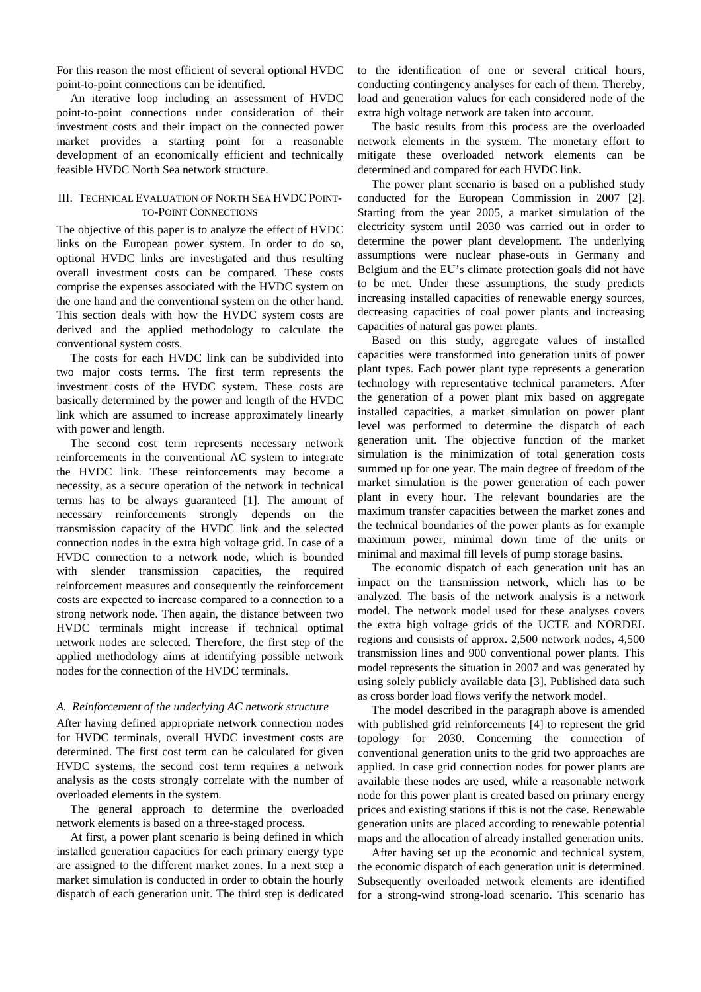For this reason the most efficient of several optional HVDC point-to-point connections can be identified.

An iterative loop including an assessment of HVDC point-to-point connections under consideration of their investment costs and their impact on the connected power market provides a starting point for a reasonable development of an economically efficient and technically feasible HVDC North Sea network structure.

# III. TECHNICAL EVALUATION OF NORTH SEA HVDC POINT-TO-POINT CONNECTIONS

The objective of this paper is to analyze the effect of HVDC links on the European power system. In order to do so, optional HVDC links are investigated and thus resulting overall investment costs can be compared. These costs comprise the expenses associated with the HVDC system on the one hand and the conventional system on the other hand. This section deals with how the HVDC system costs are derived and the applied methodology to calculate the conventional system costs.

The costs for each HVDC link can be subdivided into two major costs terms. The first term represents the investment costs of the HVDC system. These costs are basically determined by the power and length of the HVDC link which are assumed to increase approximately linearly with power and length.

The second cost term represents necessary network reinforcements in the conventional AC system to integrate the HVDC link. These reinforcements may become a necessity, as a secure operation of the network in technical terms has to be always guaranteed [1]. The amount of necessary reinforcements strongly depends on the transmission capacity of the HVDC link and the selected connection nodes in the extra high voltage grid. In case of a HVDC connection to a network node, which is bounded with slender transmission capacities, the required reinforcement measures and consequently the reinforcement costs are expected to increase compared to a connection to a strong network node. Then again, the distance between two HVDC terminals might increase if technical optimal network nodes are selected. Therefore, the first step of the applied methodology aims at identifying possible network nodes for the connection of the HVDC terminals.

# *A. Reinforcement of the underlying AC network structure*

After having defined appropriate network connection nodes for HVDC terminals, overall HVDC investment costs are determined. The first cost term can be calculated for given HVDC systems, the second cost term requires a network analysis as the costs strongly correlate with the number of overloaded elements in the system.

The general approach to determine the overloaded network elements is based on a three-staged process.

At first, a power plant scenario is being defined in which installed generation capacities for each primary energy type are assigned to the different market zones. In a next step a market simulation is conducted in order to obtain the hourly dispatch of each generation unit. The third step is dedicated

to the identification of one or several critical hours, conducting contingency analyses for each of them. Thereby, load and generation values for each considered node of the extra high voltage network are taken into account.

The basic results from this process are the overloaded network elements in the system. The monetary effort to mitigate these overloaded network elements can be determined and compared for each HVDC link.

The power plant scenario is based on a published study conducted for the European Commission in 2007 [2]. Starting from the year 2005, a market simulation of the electricity system until 2030 was carried out in order to determine the power plant development. The underlying assumptions were nuclear phase-outs in Germany and Belgium and the EU's climate protection goals did not have to be met. Under these assumptions, the study predicts increasing installed capacities of renewable energy sources, decreasing capacities of coal power plants and increasing capacities of natural gas power plants.

Based on this study, aggregate values of installed capacities were transformed into generation units of power plant types. Each power plant type represents a generation technology with representative technical parameters. After the generation of a power plant mix based on aggregate installed capacities, a market simulation on power plant level was performed to determine the dispatch of each generation unit. The objective function of the market simulation is the minimization of total generation costs summed up for one year. The main degree of freedom of the market simulation is the power generation of each power plant in every hour. The relevant boundaries are the maximum transfer capacities between the market zones and the technical boundaries of the power plants as for example maximum power, minimal down time of the units or minimal and maximal fill levels of pump storage basins.

The economic dispatch of each generation unit has an impact on the transmission network, which has to be analyzed. The basis of the network analysis is a network model. The network model used for these analyses covers the extra high voltage grids of the UCTE and NORDEL regions and consists of approx. 2,500 network nodes, 4,500 transmission lines and 900 conventional power plants. This model represents the situation in 2007 and was generated by using solely publicly available data [3]. Published data such as cross border load flows verify the network model.

The model described in the paragraph above is amended with published grid reinforcements [4] to represent the grid topology for 2030. Concerning the connection of conventional generation units to the grid two approaches are applied. In case grid connection nodes for power plants are available these nodes are used, while a reasonable network node for this power plant is created based on primary energy prices and existing stations if this is not the case. Renewable generation units are placed according to renewable potential maps and the allocation of already installed generation units.

After having set up the economic and technical system, the economic dispatch of each generation unit is determined. Subsequently overloaded network elements are identified for a strong-wind strong-load scenario. This scenario has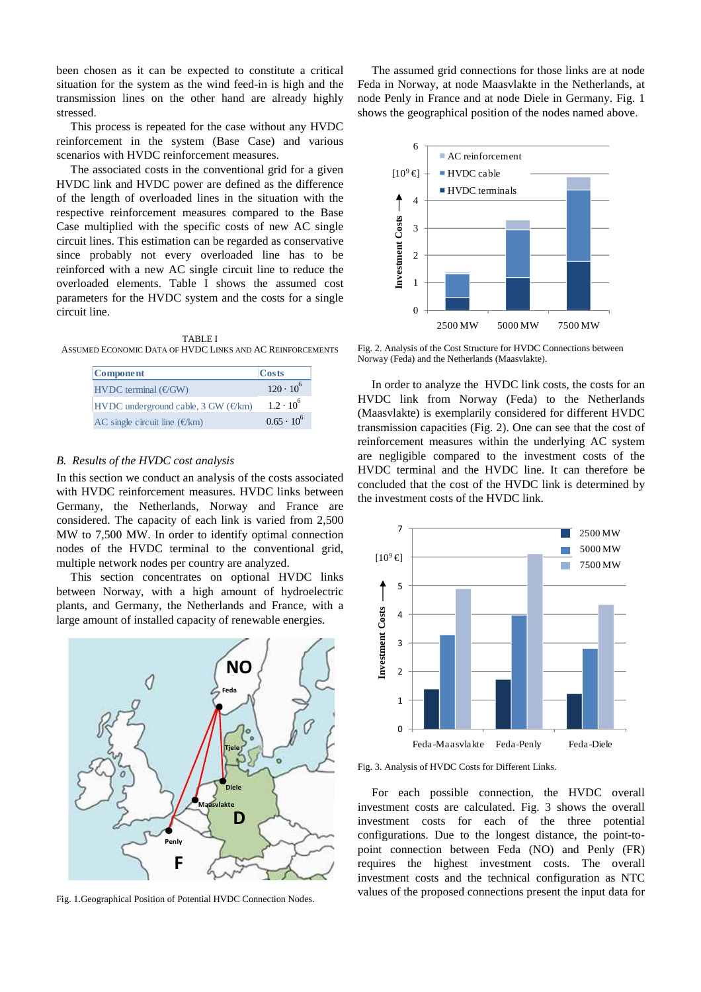been chosen as it can be expected to constitute a critical situation for the system as the wind feed-in is high and the transmission lines on the other hand are already highly stressed.

This process is repeated for the case without any HVDC reinforcement in the system (Base Case) and various scenarios with HVDC reinforcement measures.

The associated costs in the conventional grid for a given HVDC link and HVDC power are defined as the difference of the length of overloaded lines in the situation with the respective reinforcement measures compared to the Base Case multiplied with the specific costs of new AC single circuit lines. This estimation can be regarded as conservative since probably not every overloaded line has to be reinforced with a new AC single circuit line to reduce the overloaded elements. Table I shows the assumed cost parameters for the HVDC system and the costs for a single circuit line.

TABLE I ASSUMED ECONOMIC DATA OF HVDC LINKS AND AC REINFORCEMENTS

| <b>Component</b>                             | Costs               |
|----------------------------------------------|---------------------|
| $HVDC$ terminal ( $E/GW$ )                   | $120 \cdot 10^{6}$  |
| HVDC underground cable, 3 GW $(\epsilon/km)$ | $1.2 \cdot 10^{6}$  |
| AC single circuit line $(\epsilon/km)$       | $0.65 \cdot 10^{6}$ |

#### *B. Results of the HVDC cost analysis*

In this section we conduct an analysis of the costs associated with HVDC reinforcement measures. HVDC links between Germany, the Netherlands, Norway and France are considered. The capacity of each link is varied from 2,500 MW to 7,500 MW. In order to identify optimal connection nodes of the HVDC terminal to the conventional grid, multiple network nodes per country are analyzed.

This section concentrates on optional HVDC links between Norway, with a high amount of hydroelectric plants, and Germany, the Netherlands and France, with a large amount of installed capacity of renewable energies.



Fig. 1.Geographical Position of Potential HVDC Connection Nodes.

The assumed grid connections for those links are at node Feda in Norway, at node Maasvlakte in the Netherlands, at node Penly in France and at node Diele in Germany. Fig. 1 shows the geographical position of the nodes named above.



Fig. 2. Analysis of the Cost Structure for HVDC Connections between Norway (Feda) and the Netherlands (Maasvlakte).

In order to analyze the HVDC link costs, the costs for an HVDC link from Norway (Feda) to the Netherlands (Maasvlakte) is exemplarily considered for different HVDC transmission capacities (Fig. 2). One can see that the cost of reinforcement measures within the underlying AC system are negligible compared to the investment costs of the HVDC terminal and the HVDC line. It can therefore be concluded that the cost of the HVDC link is determined by the investment costs of the HVDC link.



Fig. 3. Analysis of HVDC Costs for Different Links.

For each possible connection, the HVDC overall investment costs are calculated. Fig. 3 shows the overall investment costs for each of the three potential configurations. Due to the longest distance, the point-topoint connection between Feda (NO) and Penly (FR) requires the highest investment costs. The overall investment costs and the technical configuration as NTC values of the proposed connections present the input data for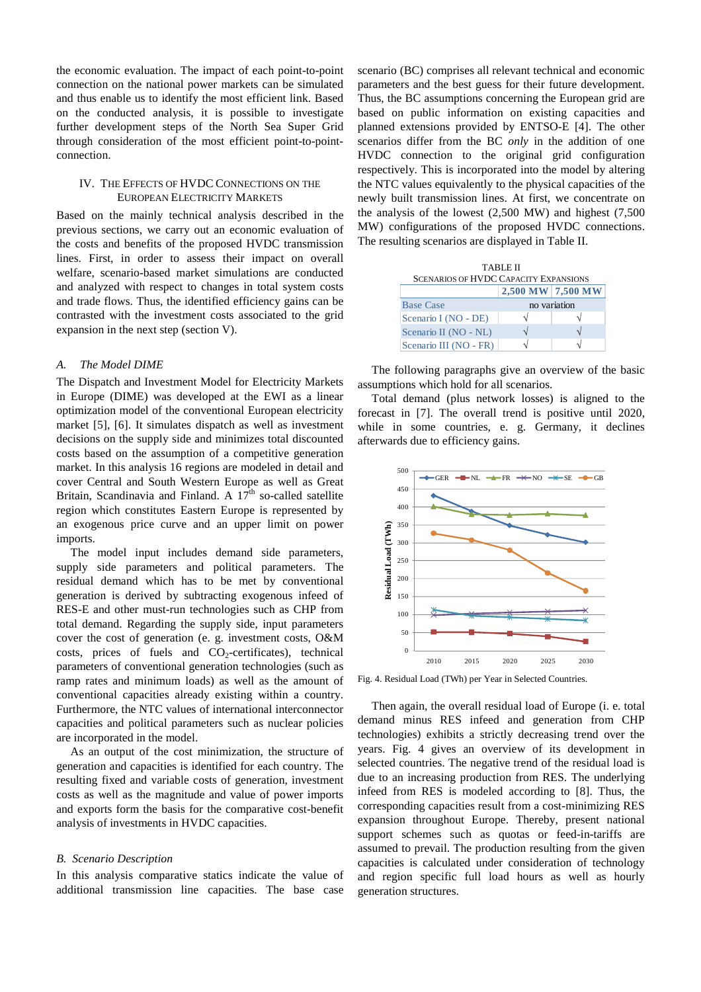the economic evaluation. The impact of each point-to-point connection on the national power markets can be simulated and thus enable us to identify the most efficient link. Based on the conducted analysis, it is possible to investigate further development steps of the North Sea Super Grid through consideration of the most efficient point-to-pointconnection.

# IV. THE EFFECTS OF HVDC CONNECTIONS ON THE EUROPEAN ELECTRICITY MARKETS

Based on the mainly technical analysis described in the previous sections, we carry out an economic evaluation of the costs and benefits of the proposed HVDC transmission lines. First, in order to assess their impact on overall welfare, scenario-based market simulations are conducted and analyzed with respect to changes in total system costs and trade flows. Thus, the identified efficiency gains can be contrasted with the investment costs associated to the grid expansion in the next step (section V).

#### *A. The Model DIME*

The Dispatch and Investment Model for Electricity Markets in Europe (DIME) was developed at the EWI as a linear optimization model of the conventional European electricity market [5], [6]. It simulates dispatch as well as investment decisions on the supply side and minimizes total discounted costs based on the assumption of a competitive generation market. In this analysis 16 regions are modeled in detail and cover Central and South Western Europe as well as Great Britain, Scandinavia and Finland. A  $17<sup>th</sup>$  so-called satellite region which constitutes Eastern Europe is represented by an exogenous price curve and an upper limit on power imports.

The model input includes demand side parameters, supply side parameters and political parameters. The residual demand which has to be met by conventional generation is derived by subtracting exogenous infeed of RES-E and other must-run technologies such as CHP from total demand. Regarding the supply side, input parameters cover the cost of generation (e. g. investment costs, O&M costs, prices of fuels and  $CO<sub>2</sub>$ -certificates), technical parameters of conventional generation technologies (such as ramp rates and minimum loads) as well as the amount of conventional capacities already existing within a country. Furthermore, the NTC values of international interconnector capacities and political parameters such as nuclear policies are incorporated in the model.

As an output of the cost minimization, the structure of generation and capacities is identified for each country. The resulting fixed and variable costs of generation, investment costs as well as the magnitude and value of power imports and exports form the basis for the comparative cost-benefit analysis of investments in HVDC capacities.

#### *B. Scenario Description*

In this analysis comparative statics indicate the value of additional transmission line capacities. The base case

scenario (BC) comprises all relevant technical and economic parameters and the best guess for their future development. Thus, the BC assumptions concerning the European grid are based on public information on existing capacities and planned extensions provided by ENTSO-E [4]. The other scenarios differ from the BC *only* in the addition of one HVDC connection to the original grid configuration respectively. This is incorporated into the model by altering the NTC values equivalently to the physical capacities of the newly built transmission lines. At first, we concentrate on the analysis of the lowest (2,500 MW) and highest (7,500 MW) configurations of the proposed HVDC connections. The resulting scenarios are displayed in Table II.

| <b>TABLE II</b><br><b>SCENARIOS OF HVDC CAPACITY EXPANSIONS</b> |                   |  |  |  |
|-----------------------------------------------------------------|-------------------|--|--|--|
|                                                                 | 2,500 MW 7,500 MW |  |  |  |
| <b>Base Case</b>                                                | no variation      |  |  |  |
| Scenario I (NO - DE)                                            |                   |  |  |  |
| Scenario II (NO - NL)                                           |                   |  |  |  |
| Scenario III (NO - FR)                                          |                   |  |  |  |

The following paragraphs give an overview of the basic assumptions which hold for all scenarios.

Total demand (plus network losses) is aligned to the forecast in [7]. The overall trend is positive until 2020, while in some countries, e. g. Germany, it declines afterwards due to efficiency gains.



Fig. 4. Residual Load (TWh) per Year in Selected Countries.

Then again, the overall residual load of Europe (i. e. total demand minus RES infeed and generation from CHP technologies) exhibits a strictly decreasing trend over the years. Fig. 4 gives an overview of its development in selected countries. The negative trend of the residual load is due to an increasing production from RES. The underlying infeed from RES is modeled according to [8]. Thus, the corresponding capacities result from a cost-minimizing RES expansion throughout Europe. Thereby, present national support schemes such as quotas or feed-in-tariffs are assumed to prevail. The production resulting from the given capacities is calculated under consideration of technology and region specific full load hours as well as hourly generation structures.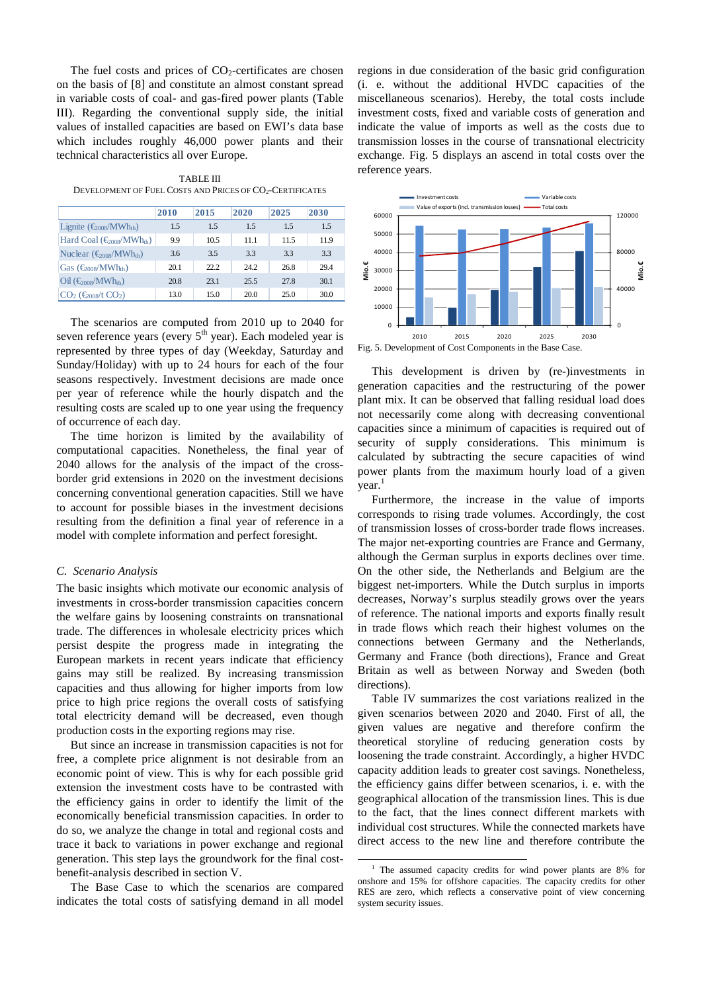The fuel costs and prices of  $CO<sub>2</sub>$ -certificates are chosen on the basis of [8] and constitute an almost constant spread in variable costs of coal- and gas-fired power plants (Table III). Regarding the conventional supply side, the initial values of installed capacities are based on EWI's data base which includes roughly 46,000 power plants and their technical characteristics all over Europe.

TABLE III DEVELOPMENT OF FUEL COSTS AND PRICES OF CO<sub>2</sub>-CERTIFICATES

|                                                                  | 2010 | 2015 | 2020 | 2025 | 2030 |
|------------------------------------------------------------------|------|------|------|------|------|
| Lignite $(\epsilon_{\text{0.08}}/MWh_{th})$                      | 1.5  | 1.5  | 1.5  | 1.5  | 1.5  |
| Hard Coal $(\epsilon_{008}/MWhth)$                               | 9.9  | 10.5 | 11.1 | 11.5 | 11.9 |
| Nuclear $(\epsilon_{008}/MWh_{th})$                              | 3.6  | 3.5  | 3.3  | 3.3  | 3.3  |
| Gas $(\epsilon_{008}/MWh_{th})$                                  | 20.1 | 22.2 | 24.2 | 26.8 | 29.4 |
| $\text{Oil}$ ( $\bigoplus_{\text{OOR}}/\text{MWh}_{\text{th}}$ ) | 20.8 | 23.1 | 25.5 | 27.8 | 30.1 |
| $CO2$ ( $\epsilon_{\text{on}}/t$ $CO2$ )                         | 13.0 | 15.0 | 20.0 | 25.0 | 30.0 |

The scenarios are computed from 2010 up to 2040 for seven reference years (every  $5<sup>th</sup>$  year). Each modeled year is represented by three types of day (Weekday, Saturday and Sunday/Holiday) with up to 24 hours for each of the four seasons respectively. Investment decisions are made once per year of reference while the hourly dispatch and the resulting costs are scaled up to one year using the frequency of occurrence of each day.

The time horizon is limited by the availability of computational capacities. Nonetheless, the final year of 2040 allows for the analysis of the impact of the crossborder grid extensions in 2020 on the investment decisions concerning conventional generation capacities. Still we have to account for possible biases in the investment decisions resulting from the definition a final year of reference in a model with complete information and perfect foresight.

#### *C. Scenario Analysis*

The basic insights which motivate our economic analysis of investments in cross-border transmission capacities concern the welfare gains by loosening constraints on transnational trade. The differences in wholesale electricity prices which persist despite the progress made in integrating the European markets in recent years indicate that efficiency gains may still be realized. By increasing transmission capacities and thus allowing for higher imports from low price to high price regions the overall costs of satisfying total electricity demand will be decreased, even though production costs in the exporting regions may rise.

But since an increase in transmission capacities is not for free, a complete price alignment is not desirable from an economic point of view. This is why for each possible grid extension the investment costs have to be contrasted with the efficiency gains in order to identify the limit of the economically beneficial transmission capacities. In order to do so, we analyze the change in total and regional costs and trace it back to variations in power exchange and regional generation. This step lays the groundwork for the final costbenefit-analysis described in section V.

The Base Case to which the scenarios are compared indicates the total costs of satisfying demand in all model

regions in due consideration of the basic grid configuration (i. e. without the additional HVDC capacities of the miscellaneous scenarios). Hereby, the total costs include investment costs, fixed and variable costs of generation and indicate the value of imports as well as the costs due to transmission losses in the course of transnational electricity exchange. Fig. 5 displays an ascend in total costs over the reference years.



This development is driven by (re-)investments in generation capacities and the restructuring of the power plant mix. It can be observed that falling residual load does not necessarily come along with decreasing conventional capacities since a minimum of capacities is required out of security of supply considerations. This minimum is calculated by subtracting the secure capacities of wind power plants from the maximum hourly load of a given  $year<sup>1</sup>$ 

Furthermore, the increase in the value of imports corresponds to rising trade volumes. Accordingly, the cost of transmission losses of cross-border trade flows increases. The major net-exporting countries are France and Germany, although the German surplus in exports declines over time. On the other side, the Netherlands and Belgium are the biggest net-importers. While the Dutch surplus in imports decreases, Norway's surplus steadily grows over the years of reference. The national imports and exports finally result in trade flows which reach their highest volumes on the connections between Germany and the Netherlands, Germany and France (both directions), France and Great Britain as well as between Norway and Sweden (both directions).

Table IV summarizes the cost variations realized in the given scenarios between 2020 and 2040. First of all, the given values are negative and therefore confirm the theoretical storyline of reducing generation costs by loosening the trade constraint. Accordingly, a higher HVDC capacity addition leads to greater cost savings. Nonetheless, the efficiency gains differ between scenarios, i. e. with the geographical allocation of the transmission lines. This is due to the fact, that the lines connect different markets with individual cost structures. While the connected markets have direct access to the new line and therefore contribute the

l

<sup>&</sup>lt;sup>1</sup> The assumed capacity credits for wind power plants are 8% for onshore and 15% for offshore capacities. The capacity credits for other RES are zero, which reflects a conservative point of view concerning system security issues.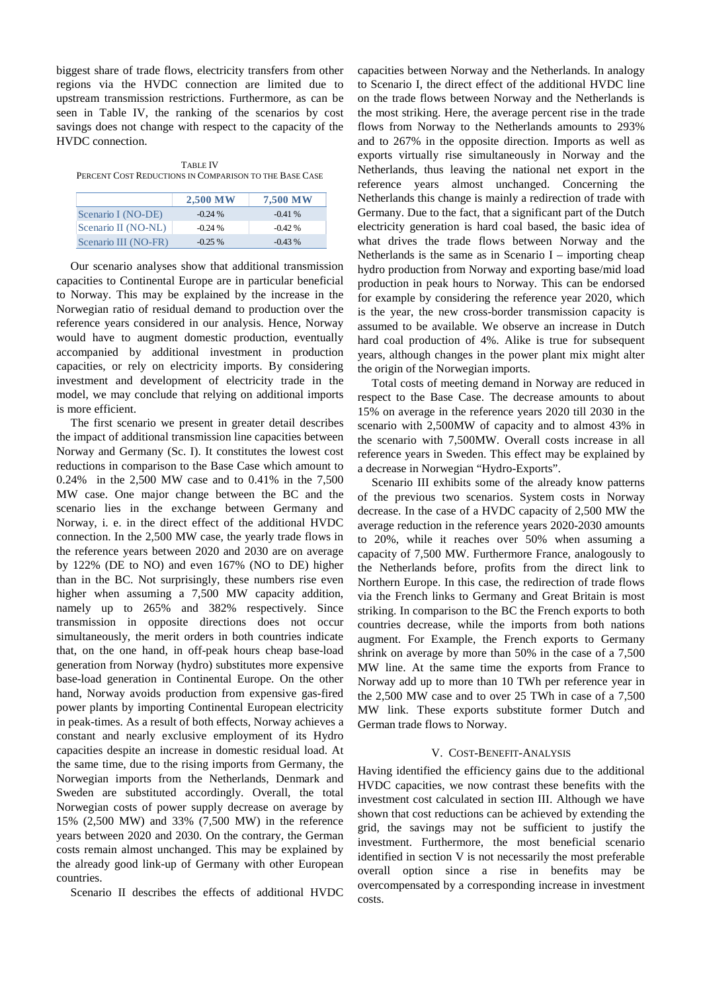biggest share of trade flows, electricity transfers from other regions via the HVDC connection are limited due to upstream transmission restrictions. Furthermore, as can be seen in Table IV, the ranking of the scenarios by cost savings does not change with respect to the capacity of the HVDC connection.

TABLE IV PERCENT COST REDUCTIONS IN COMPARISON TO THE BASE CASE

|                      | <b>2,500 MW</b> | <b>7,500 MW</b> |
|----------------------|-----------------|-----------------|
| Scenario I (NO-DE)   | $-0.24\%$       | $-0.41%$        |
| Scenario II (NO-NL)  | $-0.24\%$       | $-0.42\%$       |
| Scenario III (NO-FR) | $-0.25\%$       | $-0.43\%$       |

Our scenario analyses show that additional transmission capacities to Continental Europe are in particular beneficial to Norway. This may be explained by the increase in the Norwegian ratio of residual demand to production over the reference years considered in our analysis. Hence, Norway would have to augment domestic production, eventually accompanied by additional investment in production capacities, or rely on electricity imports. By considering investment and development of electricity trade in the model, we may conclude that relying on additional imports is more efficient.

The first scenario we present in greater detail describes the impact of additional transmission line capacities between Norway and Germany (Sc. I). It constitutes the lowest cost reductions in comparison to the Base Case which amount to 0.24% in the 2,500 MW case and to 0.41% in the 7,500 MW case. One major change between the BC and the scenario lies in the exchange between Germany and Norway, i. e. in the direct effect of the additional HVDC connection. In the 2,500 MW case, the yearly trade flows in the reference years between 2020 and 2030 are on average by 122% (DE to NO) and even 167% (NO to DE) higher than in the BC. Not surprisingly, these numbers rise even higher when assuming a 7,500 MW capacity addition, namely up to 265% and 382% respectively. Since transmission in opposite directions does not occur simultaneously, the merit orders in both countries indicate that, on the one hand, in off-peak hours cheap base-load generation from Norway (hydro) substitutes more expensive base-load generation in Continental Europe. On the other hand, Norway avoids production from expensive gas-fired power plants by importing Continental European electricity in peak-times. As a result of both effects, Norway achieves a constant and nearly exclusive employment of its Hydro capacities despite an increase in domestic residual load. At the same time, due to the rising imports from Germany, the Norwegian imports from the Netherlands, Denmark and Sweden are substituted accordingly. Overall, the total Norwegian costs of power supply decrease on average by 15% (2,500 MW) and 33% (7,500 MW) in the reference years between 2020 and 2030. On the contrary, the German costs remain almost unchanged. This may be explained by the already good link-up of Germany with other European countries.

Scenario II describes the effects of additional HVDC

capacities between Norway and the Netherlands. In analogy to Scenario I, the direct effect of the additional HVDC line on the trade flows between Norway and the Netherlands is the most striking. Here, the average percent rise in the trade flows from Norway to the Netherlands amounts to 293% and to 267% in the opposite direction. Imports as well as exports virtually rise simultaneously in Norway and the Netherlands, thus leaving the national net export in the reference years almost unchanged. Concerning the Netherlands this change is mainly a redirection of trade with Germany. Due to the fact, that a significant part of the Dutch electricity generation is hard coal based, the basic idea of what drives the trade flows between Norway and the Netherlands is the same as in Scenario  $I$  – importing cheap hydro production from Norway and exporting base/mid load production in peak hours to Norway. This can be endorsed for example by considering the reference year 2020, which is the year, the new cross-border transmission capacity is assumed to be available. We observe an increase in Dutch hard coal production of 4%. Alike is true for subsequent years, although changes in the power plant mix might alter the origin of the Norwegian imports.

Total costs of meeting demand in Norway are reduced in respect to the Base Case. The decrease amounts to about 15% on average in the reference years 2020 till 2030 in the scenario with 2,500MW of capacity and to almost 43% in the scenario with 7,500MW. Overall costs increase in all reference years in Sweden. This effect may be explained by a decrease in Norwegian "Hydro-Exports".

Scenario III exhibits some of the already know patterns of the previous two scenarios. System costs in Norway decrease. In the case of a HVDC capacity of 2,500 MW the average reduction in the reference years 2020-2030 amounts to 20%, while it reaches over 50% when assuming a capacity of 7,500 MW. Furthermore France, analogously to the Netherlands before, profits from the direct link to Northern Europe. In this case, the redirection of trade flows via the French links to Germany and Great Britain is most striking. In comparison to the BC the French exports to both countries decrease, while the imports from both nations augment. For Example, the French exports to Germany shrink on average by more than 50% in the case of a 7,500 MW line. At the same time the exports from France to Norway add up to more than 10 TWh per reference year in the 2,500 MW case and to over 25 TWh in case of a 7,500 MW link. These exports substitute former Dutch and German trade flows to Norway.

# V. COST-BENEFIT-ANALYSIS

Having identified the efficiency gains due to the additional HVDC capacities, we now contrast these benefits with the investment cost calculated in section III. Although we have shown that cost reductions can be achieved by extending the grid, the savings may not be sufficient to justify the investment. Furthermore, the most beneficial scenario identified in section V is not necessarily the most preferable overall option since a rise in benefits may be overcompensated by a corresponding increase in investment costs.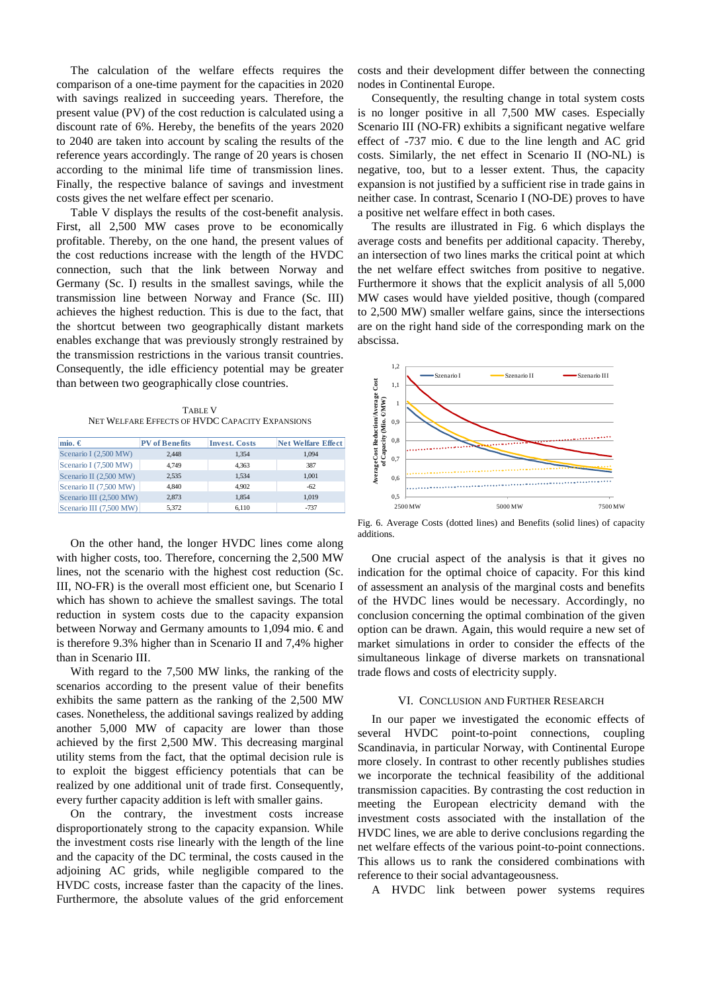The calculation of the welfare effects requires the comparison of a one-time payment for the capacities in 2020 with savings realized in succeeding years. Therefore, the present value (PV) of the cost reduction is calculated using a discount rate of 6%. Hereby, the benefits of the years 2020 to 2040 are taken into account by scaling the results of the reference years accordingly. The range of 20 years is chosen according to the minimal life time of transmission lines. Finally, the respective balance of savings and investment costs gives the net welfare effect per scenario.

Table V displays the results of the cost-benefit analysis. First, all 2,500 MW cases prove to be economically profitable. Thereby, on the one hand, the present values of the cost reductions increase with the length of the HVDC connection, such that the link between Norway and Germany (Sc. I) results in the smallest savings, while the transmission line between Norway and France (Sc. III) achieves the highest reduction. This is due to the fact, that the shortcut between two geographically distant markets enables exchange that was previously strongly restrained by the transmission restrictions in the various transit countries. Consequently, the idle efficiency potential may be greater than between two geographically close countries.

TABLE V NET WELFARE EFFECTS OF HVDC CAPACITY EXPANSIONS

| mio. $\in$              | <b>PV</b> of Benefits | <b>Invest. Costs</b> | Net Welfare Effect |
|-------------------------|-----------------------|----------------------|--------------------|
| Scenario I (2,500 MW)   | 2.448                 | 1,354                | 1.094              |
| Scenario I (7,500 MW)   | 4.749                 | 4,363                | 387                |
| Scenario II (2,500 MW)  | 2.535                 | 1.534                | 1,001              |
| Scenario II (7,500 MW)  | 4.840                 | 4.902                | $-62$              |
| Scenario III (2,500 MW) | 2.873                 | 1.854                | 1.019              |
| Scenario III (7,500 MW) | 5.372                 | 6.110                | $-737$             |

On the other hand, the longer HVDC lines come along with higher costs, too. Therefore, concerning the 2,500 MW lines, not the scenario with the highest cost reduction (Sc. III, NO-FR) is the overall most efficient one, but Scenario I which has shown to achieve the smallest savings. The total reduction in system costs due to the capacity expansion between Norway and Germany amounts to 1,094 mio. € and is therefore 9.3% higher than in Scenario II and 7,4% higher than in Scenario III.

With regard to the 7,500 MW links, the ranking of the scenarios according to the present value of their benefits exhibits the same pattern as the ranking of the 2,500 MW cases. Nonetheless, the additional savings realized by adding another 5,000 MW of capacity are lower than those achieved by the first 2,500 MW. This decreasing marginal utility stems from the fact, that the optimal decision rule is to exploit the biggest efficiency potentials that can be realized by one additional unit of trade first. Consequently, every further capacity addition is left with smaller gains.

On the contrary, the investment costs increase disproportionately strong to the capacity expansion. While the investment costs rise linearly with the length of the line and the capacity of the DC terminal, the costs caused in the adjoining AC grids, while negligible compared to the HVDC costs, increase faster than the capacity of the lines. Furthermore, the absolute values of the grid enforcement costs and their development differ between the connecting nodes in Continental Europe.

Consequently, the resulting change in total system costs is no longer positive in all 7,500 MW cases. Especially Scenario III (NO-FR) exhibits a significant negative welfare effect of -737 mio.  $\epsilon$  due to the line length and AC grid costs. Similarly, the net effect in Scenario II (NO-NL) is negative, too, but to a lesser extent. Thus, the capacity expansion is not justified by a sufficient rise in trade gains in neither case. In contrast, Scenario I (NO-DE) proves to have a positive net welfare effect in both cases.

The results are illustrated in Fig. 6 which displays the average costs and benefits per additional capacity. Thereby, an intersection of two lines marks the critical point at which the net welfare effect switches from positive to negative. Furthermore it shows that the explicit analysis of all 5,000 MW cases would have yielded positive, though (compared to 2,500 MW) smaller welfare gains, since the intersections are on the right hand side of the corresponding mark on the abscissa.



Fig. 6. Average Costs (dotted lines) and Benefits (solid lines) of capacity additions.

One crucial aspect of the analysis is that it gives no indication for the optimal choice of capacity. For this kind of assessment an analysis of the marginal costs and benefits of the HVDC lines would be necessary. Accordingly, no conclusion concerning the optimal combination of the given option can be drawn. Again, this would require a new set of market simulations in order to consider the effects of the simultaneous linkage of diverse markets on transnational trade flows and costs of electricity supply.

### VI. CONCLUSION AND FURTHER RESEARCH

In our paper we investigated the economic effects of several HVDC point-to-point connections, coupling Scandinavia, in particular Norway, with Continental Europe more closely. In contrast to other recently publishes studies we incorporate the technical feasibility of the additional transmission capacities. By contrasting the cost reduction in meeting the European electricity demand with the investment costs associated with the installation of the HVDC lines, we are able to derive conclusions regarding the net welfare effects of the various point-to-point connections. This allows us to rank the considered combinations with reference to their social advantageousness.

A HVDC link between power systems requires